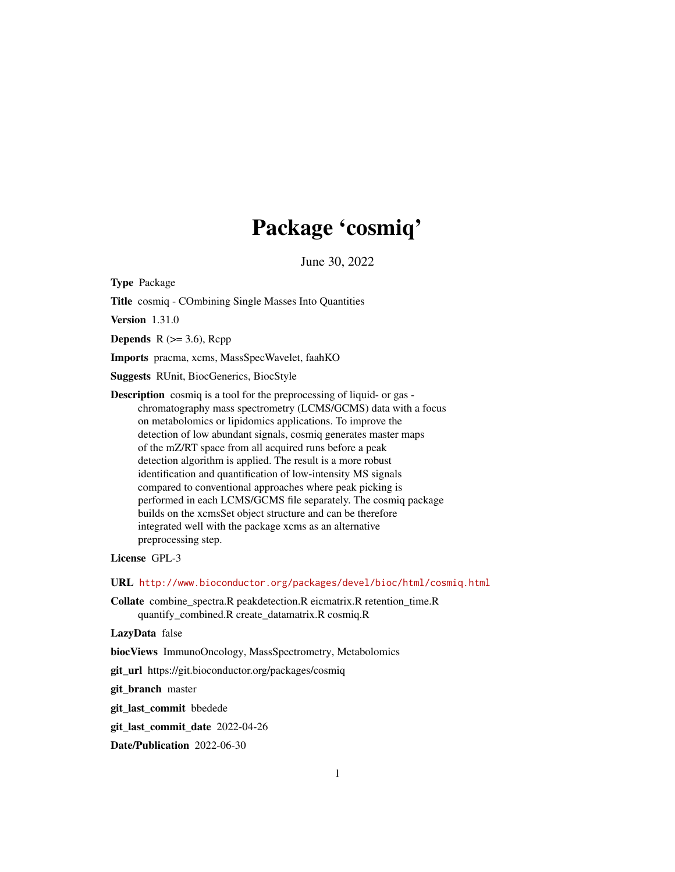# Package 'cosmiq'

June 30, 2022

Type Package

Title cosmiq - COmbining Single Masses Into Quantities

Version 1.31.0

**Depends**  $R$  ( $>= 3.6$ ), Rcpp

Imports pracma, xcms, MassSpecWavelet, faahKO

Suggests RUnit, BiocGenerics, BiocStyle

Description cosmiq is a tool for the preprocessing of liquid- or gas chromatography mass spectrometry (LCMS/GCMS) data with a focus on metabolomics or lipidomics applications. To improve the detection of low abundant signals, cosmiq generates master maps of the mZ/RT space from all acquired runs before a peak detection algorithm is applied. The result is a more robust identification and quantification of low-intensity MS signals compared to conventional approaches where peak picking is performed in each LCMS/GCMS file separately. The cosmiq package builds on the xcmsSet object structure and can be therefore integrated well with the package xcms as an alternative preprocessing step.

License GPL-3

URL <http://www.bioconductor.org/packages/devel/bioc/html/cosmiq.html>

Collate combine\_spectra.R peakdetection.R eicmatrix.R retention\_time.R quantify\_combined.R create\_datamatrix.R cosmiq.R

LazyData false

biocViews ImmunoOncology, MassSpectrometry, Metabolomics

git\_url https://git.bioconductor.org/packages/cosmiq

git\_branch master

git\_last\_commit bbedede

git\_last\_commit\_date 2022-04-26

Date/Publication 2022-06-30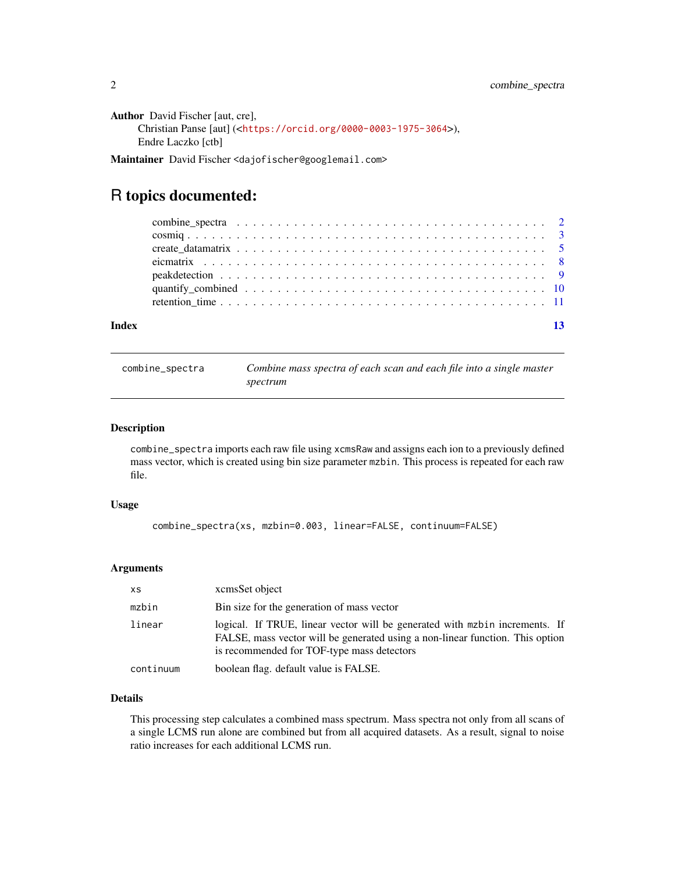```
Author David Fischer [aut, cre],
     Christian Panse [aut] (<https://orcid.org/0000-0003-1975-3064>),
     Endre Laczko [ctb]
```
Maintainer David Fischer <dajofischer@googlemail.com>

# R topics documented:

| Index |  |  |  |  |  |  |  |  |  |  |  |  |  |  |  | 13 |
|-------|--|--|--|--|--|--|--|--|--|--|--|--|--|--|--|----|
|       |  |  |  |  |  |  |  |  |  |  |  |  |  |  |  |    |
|       |  |  |  |  |  |  |  |  |  |  |  |  |  |  |  |    |
|       |  |  |  |  |  |  |  |  |  |  |  |  |  |  |  |    |
|       |  |  |  |  |  |  |  |  |  |  |  |  |  |  |  |    |
|       |  |  |  |  |  |  |  |  |  |  |  |  |  |  |  |    |
|       |  |  |  |  |  |  |  |  |  |  |  |  |  |  |  |    |
|       |  |  |  |  |  |  |  |  |  |  |  |  |  |  |  |    |

combine\_spectra *Combine mass spectra of each scan and each file into a single master spectrum*

# Description

combine\_spectra imports each raw file using xcmsRaw and assigns each ion to a previously defined mass vector, which is created using bin size parameter mzbin. This process is repeated for each raw file.

# Usage

```
combine_spectra(xs, mzbin=0.003, linear=FALSE, continuum=FALSE)
```
# Arguments

| XS        | xcmsSet object                                                                                                                                                                                             |
|-----------|------------------------------------------------------------------------------------------------------------------------------------------------------------------------------------------------------------|
| mzbin     | Bin size for the generation of mass vector                                                                                                                                                                 |
| linear    | logical. If TRUE, linear vector will be generated with mzbin increments. If<br>FALSE, mass vector will be generated using a non-linear function. This option<br>is recommended for TOF-type mass detectors |
| continuum | boolean flag. default value is FALSE.                                                                                                                                                                      |

# Details

This processing step calculates a combined mass spectrum. Mass spectra not only from all scans of a single LCMS run alone are combined but from all acquired datasets. As a result, signal to noise ratio increases for each additional LCMS run.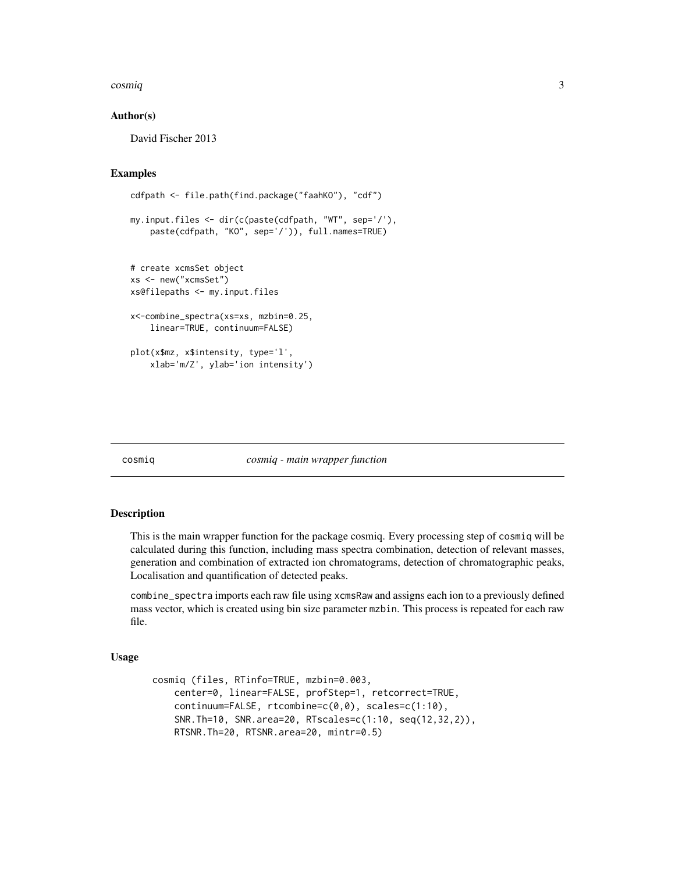#### <span id="page-2-0"></span>cosmiq 3

# Author(s)

David Fischer 2013

# Examples

```
cdfpath <- file.path(find.package("faahKO"), "cdf")
```

```
my.input.files <- dir(c(paste(cdfpath, "WT", sep='/'),
   paste(cdfpath, "KO", sep='/')), full.names=TRUE)
```

```
# create xcmsSet object
xs <- new("xcmsSet")
xs@filepaths <- my.input.files
```

```
x<-combine_spectra(xs=xs, mzbin=0.25,
   linear=TRUE, continuum=FALSE)
```

```
plot(x$mz, x$intensity, type='l',
    xlab='m/Z', ylab='ion intensity')
```
## cosmiq *cosmiq - main wrapper function*

# Description

This is the main wrapper function for the package cosmiq. Every processing step of cosmiq will be calculated during this function, including mass spectra combination, detection of relevant masses, generation and combination of extracted ion chromatograms, detection of chromatographic peaks, Localisation and quantification of detected peaks.

combine\_spectra imports each raw file using xcmsRaw and assigns each ion to a previously defined mass vector, which is created using bin size parameter mzbin. This process is repeated for each raw file.

#### Usage

```
cosmiq (files, RTinfo=TRUE, mzbin=0.003,
   center=0, linear=FALSE, profStep=1, retcorrect=TRUE,
   continuum=FALSE, rtcombine=c(0,0), scales=c(1:10),
   SNR.Th=10, SNR.area=20, RTscales=c(1:10, seq(12,32,2)),
   RTSNR.Th=20, RTSNR.area=20, mintr=0.5)
```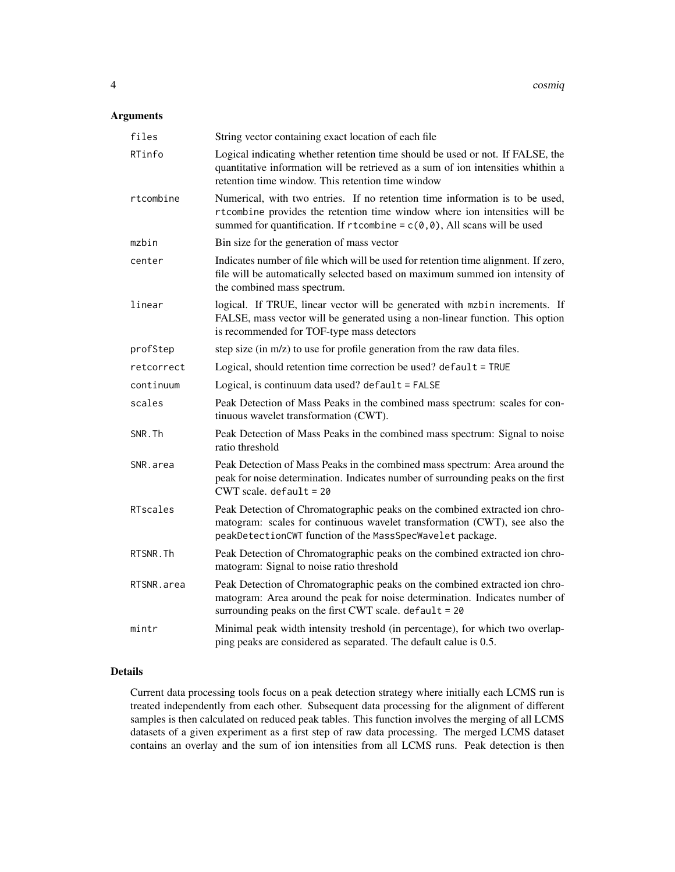# Arguments

| files      | String vector containing exact location of each file                                                                                                                                                                                       |
|------------|--------------------------------------------------------------------------------------------------------------------------------------------------------------------------------------------------------------------------------------------|
| RTinfo     | Logical indicating whether retention time should be used or not. If FALSE, the<br>quantitative information will be retrieved as a sum of ion intensities whithin a<br>retention time window. This retention time window                    |
| rtcombine  | Numerical, with two entries. If no retention time information is to be used,<br>rtcombine provides the retention time window where ion intensities will be<br>summed for quantification. If rtcombine = $c(0, 0)$ , All scans will be used |
| mzbin      | Bin size for the generation of mass vector                                                                                                                                                                                                 |
| center     | Indicates number of file which will be used for retention time alignment. If zero,<br>file will be automatically selected based on maximum summed ion intensity of<br>the combined mass spectrum.                                          |
| linear     | logical. If TRUE, linear vector will be generated with mzbin increments. If<br>FALSE, mass vector will be generated using a non-linear function. This option<br>is recommended for TOF-type mass detectors                                 |
| profStep   | step size (in m/z) to use for profile generation from the raw data files.                                                                                                                                                                  |
| retcorrect | Logical, should retention time correction be used? default = TRUE                                                                                                                                                                          |
| continuum  | Logical, is continuum data used? default = FALSE                                                                                                                                                                                           |
| scales     | Peak Detection of Mass Peaks in the combined mass spectrum: scales for con-<br>tinuous wavelet transformation (CWT).                                                                                                                       |
| SNR.Th     | Peak Detection of Mass Peaks in the combined mass spectrum: Signal to noise<br>ratio threshold                                                                                                                                             |
| SNR.area   | Peak Detection of Mass Peaks in the combined mass spectrum: Area around the<br>peak for noise determination. Indicates number of surrounding peaks on the first<br>$CWT$ scale. default = 20                                               |
| RTscales   | Peak Detection of Chromatographic peaks on the combined extracted ion chro-<br>matogram: scales for continuous wavelet transformation (CWT), see also the<br>peakDetectionCWT function of the MassSpecWavelet package.                     |
| RTSNR.Th   | Peak Detection of Chromatographic peaks on the combined extracted ion chro-<br>matogram: Signal to noise ratio threshold                                                                                                                   |
| RTSNR.area | Peak Detection of Chromatographic peaks on the combined extracted ion chro-<br>matogram: Area around the peak for noise determination. Indicates number of<br>surrounding peaks on the first CWT scale. default = 20                       |
| mintr      | Minimal peak width intensity treshold (in percentage), for which two overlap-<br>ping peaks are considered as separated. The default calue is 0.5.                                                                                         |

# Details

Current data processing tools focus on a peak detection strategy where initially each LCMS run is treated independently from each other. Subsequent data processing for the alignment of different samples is then calculated on reduced peak tables. This function involves the merging of all LCMS datasets of a given experiment as a first step of raw data processing. The merged LCMS dataset contains an overlay and the sum of ion intensities from all LCMS runs. Peak detection is then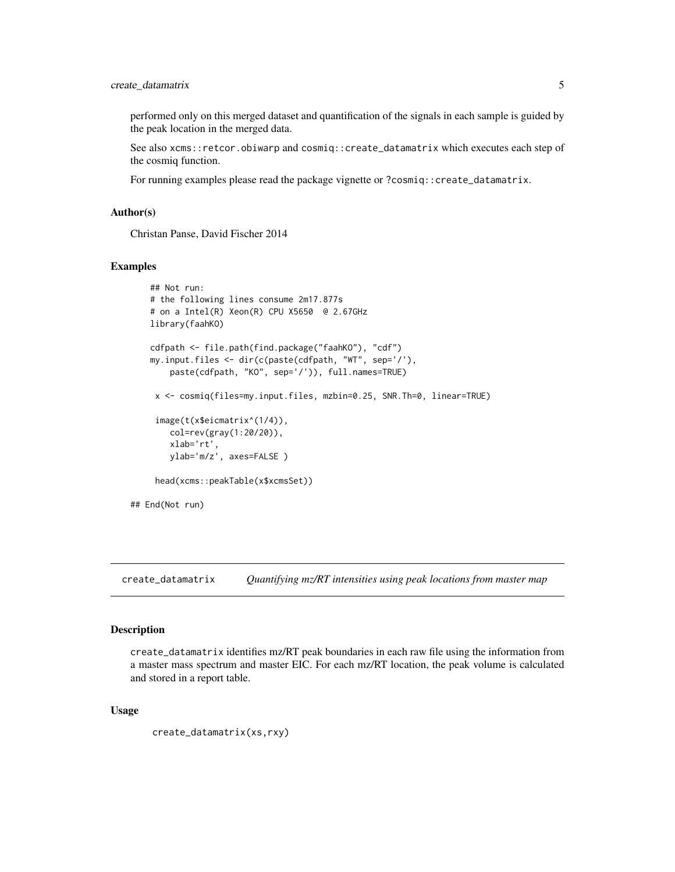# <span id="page-4-0"></span>create\_datamatrix 5

performed only on this merged dataset and quantification of the signals in each sample is guided by the peak location in the merged data.

See also xcms::retcor.obiwarp and cosmiq::create\_datamatrix which executes each step of the cosmiq function.

For running examples please read the package vignette or ?cosmiq::create\_datamatrix.

# Author(s)

Christan Panse, David Fischer 2014

## Examples

```
## Not run:
   # the following lines consume 2m17.877s
    # on a Intel(R) Xeon(R) CPU X5650 @ 2.67GHz
   library(faahKO)
    cdfpath <- file.path(find.package("faahKO"), "cdf")
   my.input.files <- dir(c(paste(cdfpath, "WT", sep='/'),
       paste(cdfpath, "KO", sep='/')), full.names=TRUE)
    x <- cosmiq(files=my.input.files, mzbin=0.25, SNR.Th=0, linear=TRUE)
     image(t(x$eicmatrix^(1/4)),
       col=rev(gray(1:20/20)),
       xlab='rt',
       ylab='m/z', axes=FALSE )
     head(xcms::peakTable(x$xcmsSet))
## End(Not run)
```
create\_datamatrix *Quantifying mz/RT intensities using peak locations from master map*

#### Description

create\_datamatrix identifies mz/RT peak boundaries in each raw file using the information from a master mass spectrum and master EIC. For each mz/RT location, the peak volume is calculated and stored in a report table.

#### Usage

```
create_datamatrix(xs,rxy)
```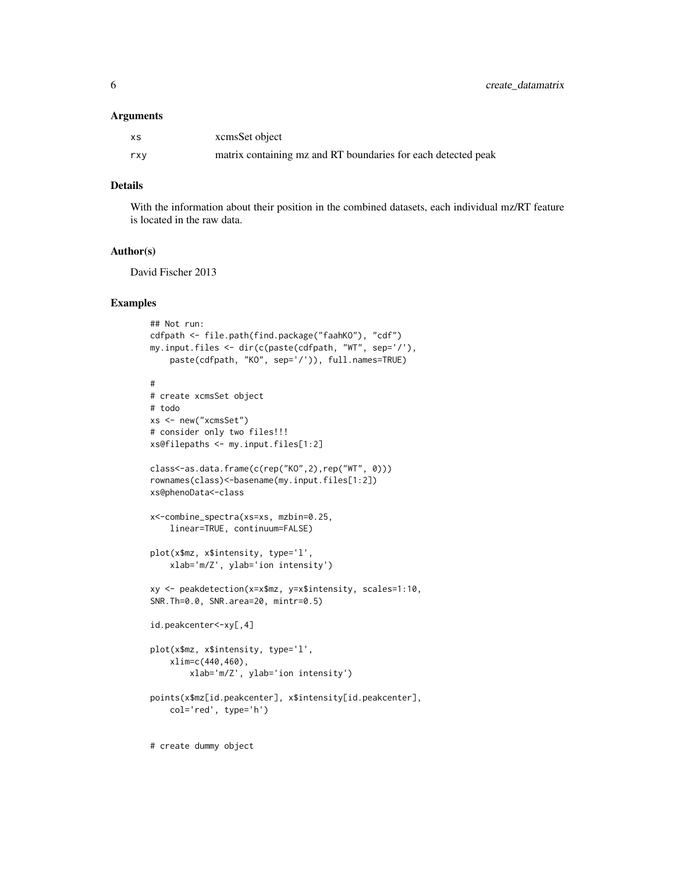#### Arguments

| xs  | xcmsSet object                                                |
|-----|---------------------------------------------------------------|
| rxy | matrix containing mz and RT boundaries for each detected peak |

# Details

With the information about their position in the combined datasets, each individual mz/RT feature is located in the raw data.

# Author(s)

David Fischer 2013

# Examples

```
## Not run:
cdfpath <- file.path(find.package("faahKO"), "cdf")
my.input.files <- dir(c(paste(cdfpath, "WT", sep='/'),
    paste(cdfpath, "KO", sep='/')), full.names=TRUE)
#
# create xcmsSet object
# todo
xs <- new("xcmsSet")
# consider only two files!!!
xs@filepaths <- my.input.files[1:2]
class<-as.data.frame(c(rep("KO",2),rep("WT", 0)))
rownames(class)<-basename(my.input.files[1:2])
xs@phenoData<-class
x<-combine_spectra(xs=xs, mzbin=0.25,
    linear=TRUE, continuum=FALSE)
plot(x$mz, x$intensity, type='l',
    xlab='m/Z', ylab='ion intensity')
xy <- peakdetection(x=x$mz, y=x$intensity, scales=1:10,
SNR.Th=0.0, SNR.area=20, mintr=0.5)
id.peakcenter<-xy[,4]
plot(x$mz, x$intensity, type='l',
    xlim=c(440,460),
        xlab='m/Z', ylab='ion intensity')
points(x$mz[id.peakcenter], x$intensity[id.peakcenter],
    col='red', type='h')
# create dummy object
```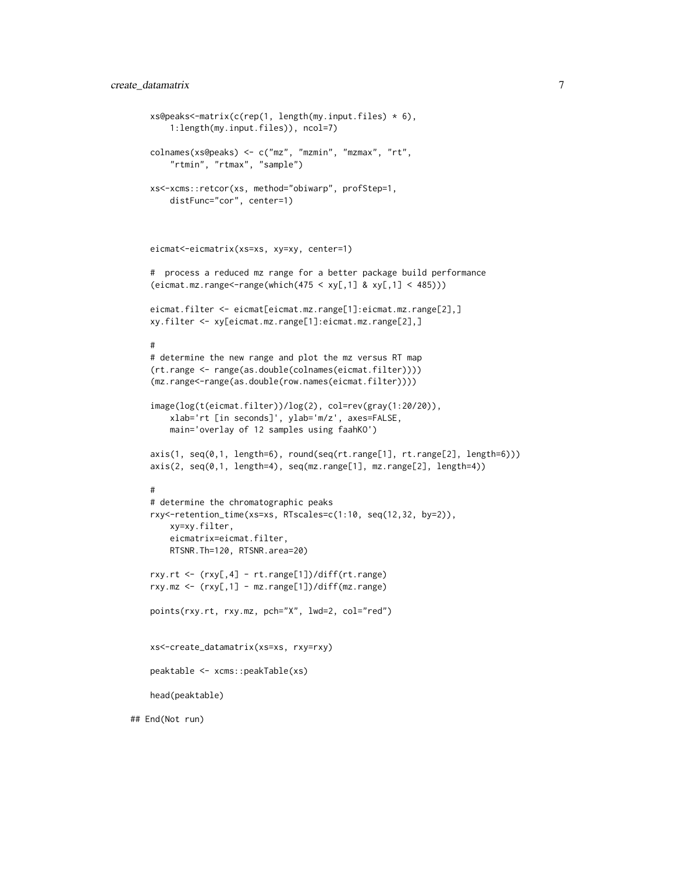```
xs@peaks<-matrix(c(rep(1, length(my.input.files) * 6),
        1:length(my.input.files)), ncol=7)
    colnames(xs@peaks) <- c("mz", "mzmin", "mzmax", "rt",
        "rtmin", "rtmax", "sample")
    xs<-xcms::retcor(xs, method="obiwarp", profStep=1,
       distFunc="cor", center=1)
    eicmat<-eicmatrix(xs=xs, xy=xy, center=1)
    # process a reduced mz range for a better package build performance
    (eicmat.mz.random = range(which(475 < xy[, 1] & xy[, 1] < 485)))eicmat.filter <- eicmat[eicmat.mz.range[1]:eicmat.mz.range[2],]
   xy.filter <- xy[eicmat.mz.range[1]:eicmat.mz.range[2],]
    #
    # determine the new range and plot the mz versus RT map
    (rt.range <- range(as.double(colnames(eicmat.filter))))
    (mz.range<-range(as.double(row.names(eicmat.filter))))
    image(log(t(eicmat.filter))/log(2), col=rev(gray(1:20/20)),
       xlab='rt [in seconds]', ylab='m/z', axes=FALSE,
       main='overlay of 12 samples using faahKO')
    axis(1, seq(0,1, length=6), round(seq(rt.range[1], rt.range[2], length=6)))
    axis(2, seq(0,1, length=4), seq(mz.range[1], mz.range[2], length=4))
    #
    # determine the chromatographic peaks
    rxy<-retention_time(xs=xs, RTscales=c(1:10, seq(12,32, by=2)),
       xy=xy.filter,
       eicmatrix=eicmat.filter,
       RTSNR.Th=120, RTSNR.area=20)
    rxy.rt <- (rxy[,4] - rt.range[1])/diff(rt.range)
    rxy.mz <- (rxy[,1] - mz.range[1])/diff(mz.range)
   points(rxy.rt, rxy.mz, pch="X", lwd=2, col="red")
    xs<-create_datamatrix(xs=xs, rxy=rxy)
   peaktable <- xcms::peakTable(xs)
   head(peaktable)
## End(Not run)
```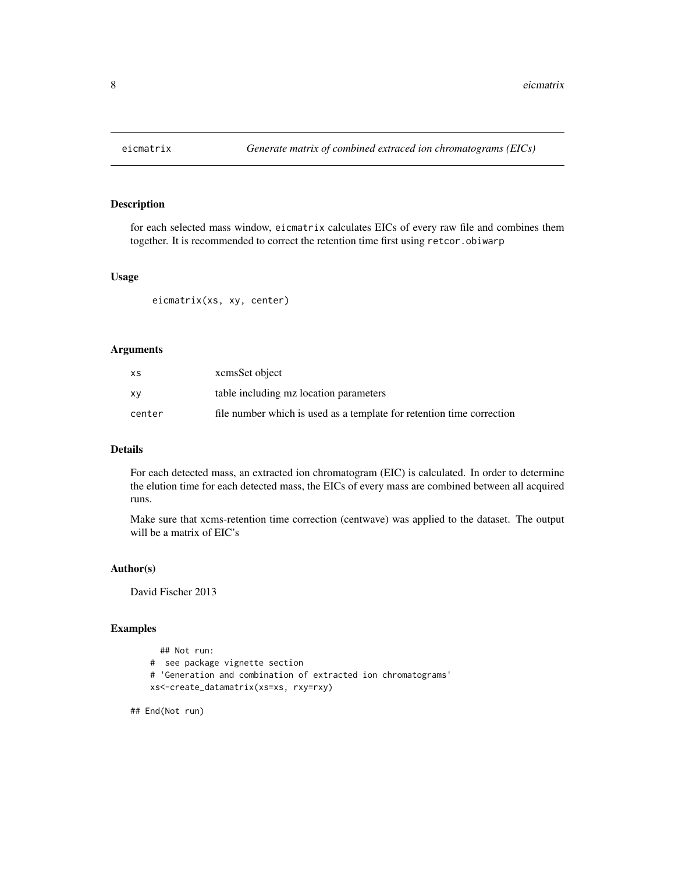<span id="page-7-0"></span>

# Description

for each selected mass window, eicmatrix calculates EICs of every raw file and combines them together. It is recommended to correct the retention time first using retcor.obiwarp

# Usage

eicmatrix(xs, xy, center)

# Arguments

| хs     | xcmsSet object                                                        |
|--------|-----------------------------------------------------------------------|
| x٧     | table including mz location parameters                                |
| center | file number which is used as a template for retention time correction |

# Details

For each detected mass, an extracted ion chromatogram (EIC) is calculated. In order to determine the elution time for each detected mass, the EICs of every mass are combined between all acquired runs.

Make sure that xcms-retention time correction (centwave) was applied to the dataset. The output will be a matrix of EIC's

# Author(s)

David Fischer 2013

# Examples

```
## Not run:
# see package vignette section
# 'Generation and combination of extracted ion chromatograms'
xs<-create_datamatrix(xs=xs, rxy=rxy)
```
## End(Not run)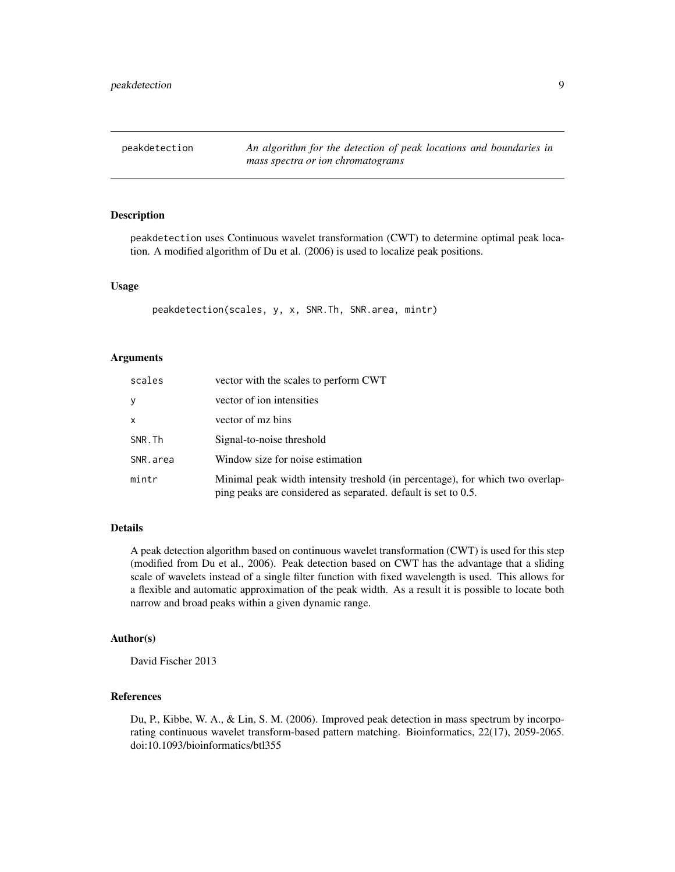<span id="page-8-0"></span>peakdetection *An algorithm for the detection of peak locations and boundaries in mass spectra or ion chromatograms*

### Description

peakdetection uses Continuous wavelet transformation (CWT) to determine optimal peak location. A modified algorithm of Du et al. (2006) is used to localize peak positions.

# Usage

peakdetection(scales, y, x, SNR.Th, SNR.area, mintr)

# Arguments

| scales   | vector with the scales to perform CWT                                                                                                           |
|----------|-------------------------------------------------------------------------------------------------------------------------------------------------|
| У        | vector of ion intensities                                                                                                                       |
| x        | vector of mz bins                                                                                                                               |
| SNR.Th   | Signal-to-noise threshold                                                                                                                       |
| SNR.area | Window size for noise estimation                                                                                                                |
| mintr    | Minimal peak width intensity treshold (in percentage), for which two overlap-<br>ping peaks are considered as separated. default is set to 0.5. |

# Details

A peak detection algorithm based on continuous wavelet transformation (CWT) is used for this step (modified from Du et al., 2006). Peak detection based on CWT has the advantage that a sliding scale of wavelets instead of a single filter function with fixed wavelength is used. This allows for a flexible and automatic approximation of the peak width. As a result it is possible to locate both narrow and broad peaks within a given dynamic range.

# Author(s)

David Fischer 2013

# References

Du, P., Kibbe, W. A., & Lin, S. M. (2006). Improved peak detection in mass spectrum by incorporating continuous wavelet transform-based pattern matching. Bioinformatics, 22(17), 2059-2065. doi:10.1093/bioinformatics/btl355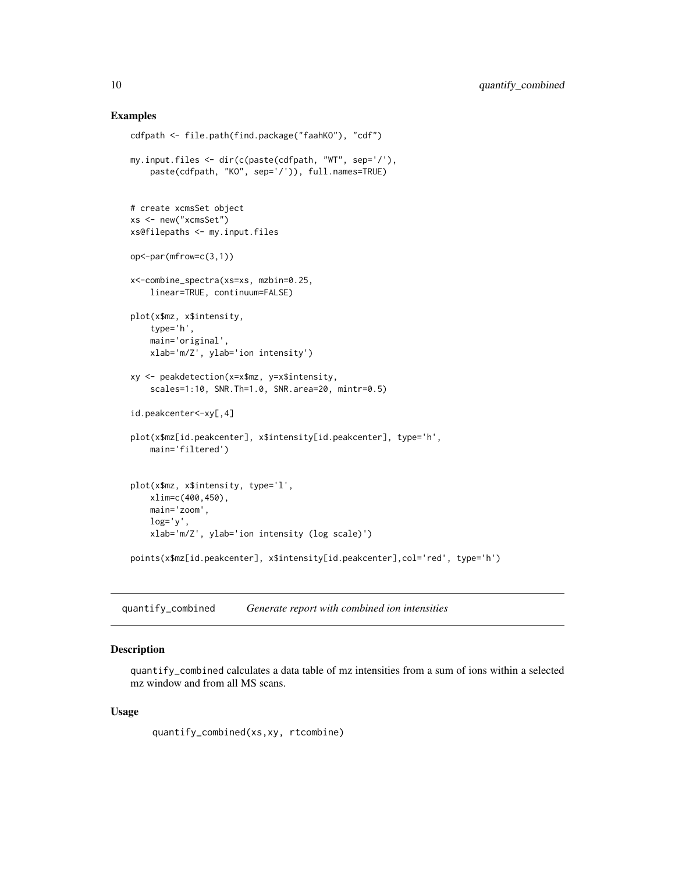# Examples

```
cdfpath <- file.path(find.package("faahKO"), "cdf")
my.input.files <- dir(c(paste(cdfpath, "WT", sep='/'),
    paste(cdfpath, "KO", sep='/')), full.names=TRUE)
# create xcmsSet object
xs <- new("xcmsSet")
xs@filepaths <- my.input.files
op<-par(mfrow=c(3,1))
x<-combine_spectra(xs=xs, mzbin=0.25,
    linear=TRUE, continuum=FALSE)
plot(x$mz, x$intensity,
   type='h',
   main='original',
   xlab='m/Z', ylab='ion intensity')
xy <- peakdetection(x=x$mz, y=x$intensity,
    scales=1:10, SNR.Th=1.0, SNR.area=20, mintr=0.5)
id.peakcenter<-xy[,4]
plot(x$mz[id.peakcenter], x$intensity[id.peakcenter], type='h',
    main='filtered')
plot(x$mz, x$intensity, type='l',
   xlim=c(400,450),
   main='zoom',
   log='y',
   xlab='m/Z', ylab='ion intensity (log scale)')
points(x$mz[id.peakcenter], x$intensity[id.peakcenter],col='red', type='h')
```
quantify\_combined *Generate report with combined ion intensities*

## Description

quantify\_combined calculates a data table of mz intensities from a sum of ions within a selected mz window and from all MS scans.

#### Usage

quantify\_combined(xs,xy, rtcombine)

<span id="page-9-0"></span>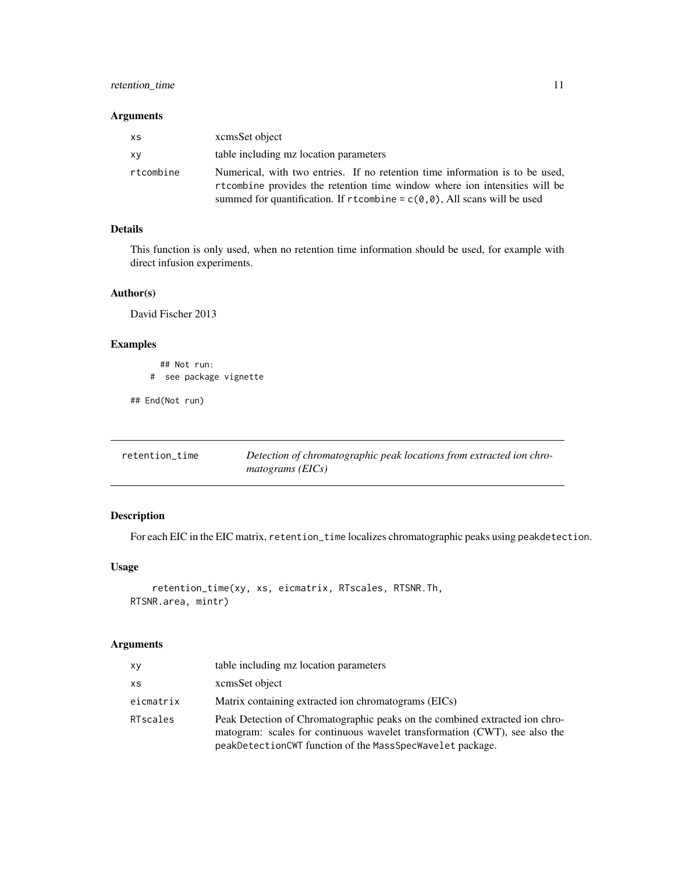# <span id="page-10-0"></span>retention\_time 11

# Arguments

| XS        | xcmsSet object                                                                                                                                                                                                                               |
|-----------|----------------------------------------------------------------------------------------------------------------------------------------------------------------------------------------------------------------------------------------------|
| xy        | table including mz location parameters                                                                                                                                                                                                       |
| rtcombine | Numerical, with two entries. If no retention time information is to be used,<br>rtcombine provides the retention time window where ion intensities will be<br>summed for quantification. If $r$ tcombine = $c(0,0)$ , All scans will be used |

# Details

This function is only used, when no retention time information should be used, for example with direct infusion experiments.

# Author(s)

David Fischer 2013

# Examples

```
## Not run:
# see package vignette
```
## End(Not run)

| retention time | Detection of chromatographic peak locations from extracted ion chro- |
|----------------|----------------------------------------------------------------------|
|                | $matograms$ (EICs)                                                   |

# Description

For each EIC in the EIC matrix, retention\_time localizes chromatographic peaks using peakdetection.

# Usage

```
retention_time(xy, xs, eicmatrix, RTscales, RTSNR.Th,
RTSNR.area, mintr)
```
# Arguments

| xy        | table including mz location parameters                                                                                                                                                                                 |
|-----------|------------------------------------------------------------------------------------------------------------------------------------------------------------------------------------------------------------------------|
| XS        | xcmsSet object                                                                                                                                                                                                         |
| eicmatrix | Matrix containing extracted ion chromatograms (EICs)                                                                                                                                                                   |
| RTscales  | Peak Detection of Chromatographic peaks on the combined extracted ion chro-<br>matogram: scales for continuous wavelet transformation (CWT), see also the<br>peakDetectionCWT function of the MassSpecWavelet package. |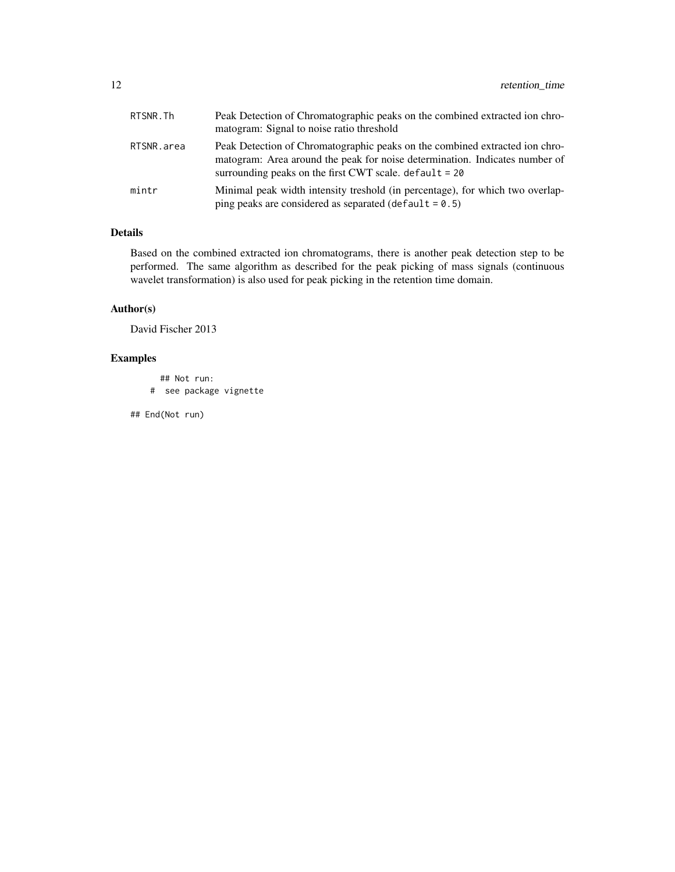| RTSNR.Th   | Peak Detection of Chromatographic peaks on the combined extracted ion chro-<br>matogram: Signal to noise ratio threshold                                                                                               |
|------------|------------------------------------------------------------------------------------------------------------------------------------------------------------------------------------------------------------------------|
| RTSNR.area | Peak Detection of Chromatographic peaks on the combined extracted ion chro-<br>matogram: Area around the peak for noise determination. Indicates number of<br>surrounding peaks on the first CWT scale. $default = 20$ |
| mintr      | Minimal peak width intensity treshold (in percentage), for which two overlap-<br>ping peaks are considered as separated (default = $0.5$ )                                                                             |

# Details

Based on the combined extracted ion chromatograms, there is another peak detection step to be performed. The same algorithm as described for the peak picking of mass signals (continuous wavelet transformation) is also used for peak picking in the retention time domain.

# Author(s)

David Fischer 2013

# Examples

```
## Not run:
# see package vignette
```
## End(Not run)